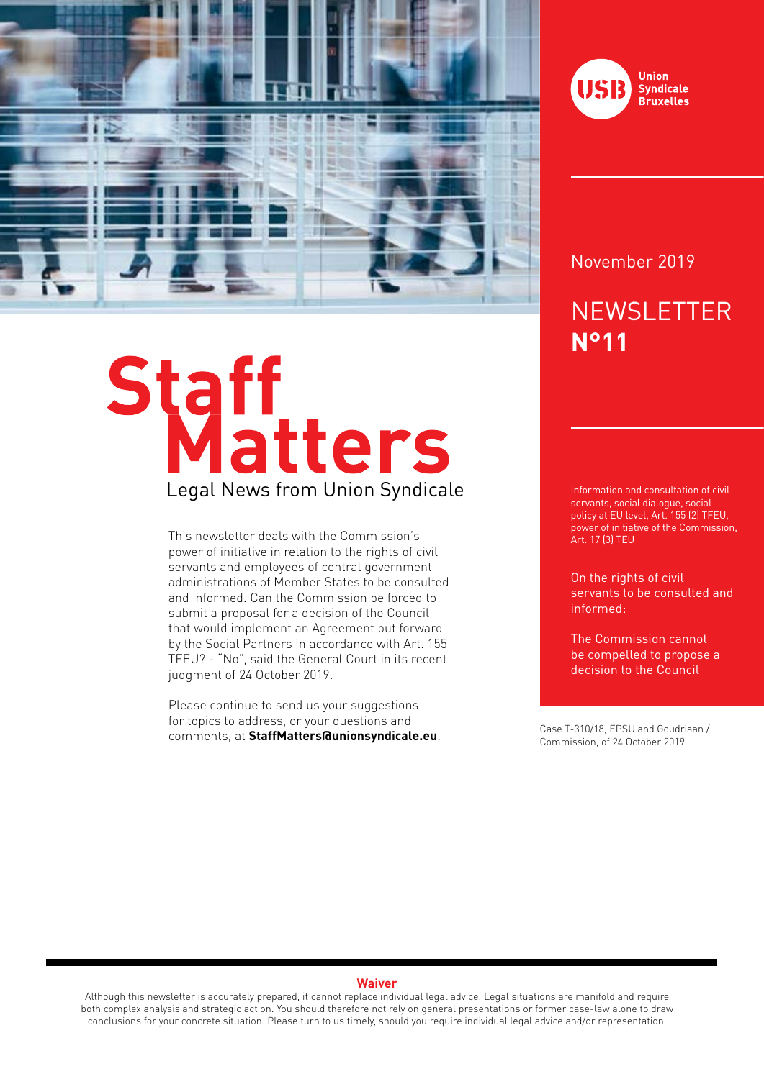

# Staff<br>Legal News from Union Syndicale

This newsletter deals with the Commission's power of initiative in relation to the rights of civil servants and employees of central government administrations of Member States to be consulted and informed. Can the Commission be forced to submit a proposal for a decision of the Council that would implement an Agreement put forward by the Social Partners in accordance with Art. 155 TFEU? - "No", said the General Court in its recent judgment of 24 October 2019.

Please continue to send us your suggestions for topics to address, or your questions and comments, at **StaffMatters@unionsyndicale.eu**. Case T-310/18, EPSU and Goudriaan /



### November 2019

# **NEWSLETTER N°11**

Information and consultation of civil servants, social dialogue, social policy at EU level, Art. 155 (2) TFEU, power of initiative of the Commission, Art. 17 (3) TEU

On the rights of civil servants to be consulted and informed:

The Commission cannot be compelled to propose a decision to the Council

Commission, of 24 October 2019

### **Waiver**

Although this newsletter is accurately prepared, it cannot replace individual legal advice. Legal situations are manifold and require both complex analysis and strategic action. You should therefore not rely on general presentations or former case-law alone to draw conclusions for your concrete situation. Please turn to us timely, should you require individual legal advice and/or representation.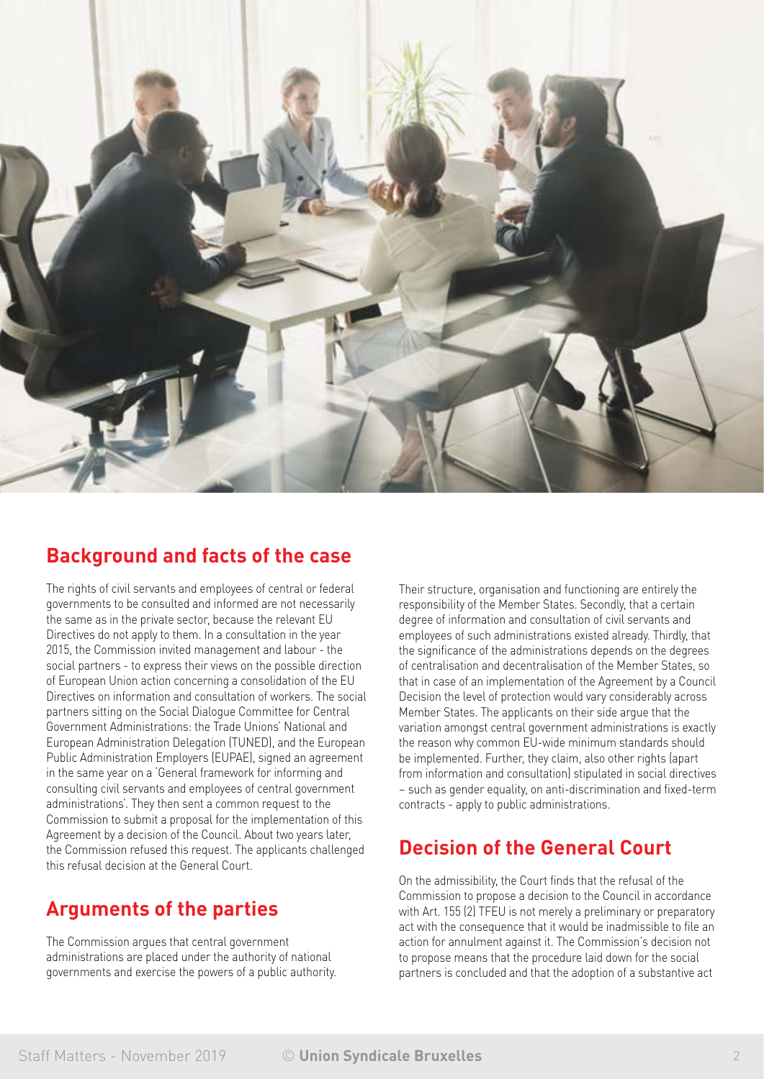

### **Background and facts of the case**

The rights of civil servants and employees of central or federal governments to be consulted and informed are not necessarily the same as in the private sector, because the relevant EU Directives do not apply to them. In a consultation in the year 2015, the Commission invited management and labour - the social partners - to express their views on the possible direction of European Union action concerning a consolidation of the EU Directives on information and consultation of workers. The social partners sitting on the Social Dialogue Committee for Central Government Administrations: the Trade Unions' National and European Administration Delegation (TUNED), and the European Public Administration Employers (EUPAE), signed an agreement in the same year on a 'General framework for informing and consulting civil servants and employees of central government administrations'. They then sent a common request to the Commission to submit a proposal for the implementation of this Agreement by a decision of the Council. About two years later, the Commission refused this request. The applicants challenged this refusal decision at the General Court.

### **Arguments of the parties**

The Commission argues that central government administrations are placed under the authority of national governments and exercise the powers of a public authority. Their structure, organisation and functioning are entirely the responsibility of the Member States. Secondly, that a certain degree of information and consultation of civil servants and employees of such administrations existed already. Thirdly, that the significance of the administrations depends on the degrees of centralisation and decentralisation of the Member States, so that in case of an implementation of the Agreement by a Council Decision the level of protection would vary considerably across Member States. The applicants on their side argue that the variation amongst central government administrations is exactly the reason why common EU-wide minimum standards should be implemented. Further, they claim, also other rights (apart from information and consultation) stipulated in social directives – such as gender equality, on anti-discrimination and fixed-term contracts - apply to public administrations.

## **Decision of the General Court**

On the admissibility, the Court finds that the refusal of the Commission to propose a decision to the Council in accordance with Art. 155 (2) TFEU is not merely a preliminary or preparatory act with the consequence that it would be inadmissible to file an action for annulment against it. The Commission's decision not to propose means that the procedure laid down for the social partners is concluded and that the adoption of a substantive act